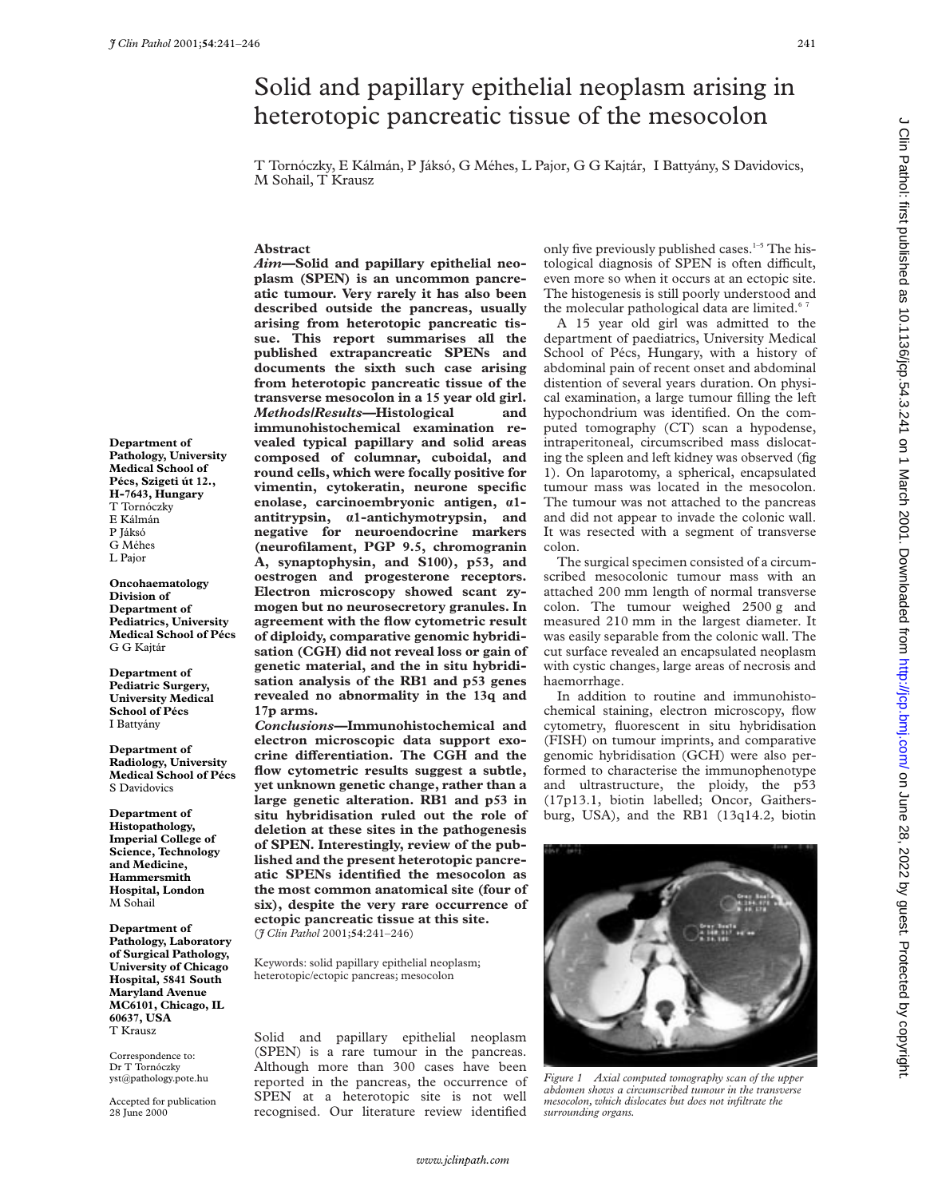## Solid and papillary epithelial neoplasm arising in heterotopic pancreatic tissue of the mesocolon

T Tornóczky, E Kálmán, P Jáksó, G Méhes, L Pajor, G G Kajtár, I Battyány, S Davidovics, M Sohail, T Krausz

#### **Abstract**

*Aim—***Solid and papillary epithelial neoplasm (SPEN) is an uncommon pancreatic tumour. Very rarely it has also been described outside the pancreas, usually arising from heterotopic pancreatic tissue. This report summarises all the published extrapancreatic SPENs and documents the sixth such case arising from heterotopic pancreatic tissue of the transverse mesocolon in a 15 year old girl.** *Methods/Results—***Histological and immunohistochemical examination revealed typical papillary and solid areas composed of columnar, cuboidal, and round cells, which were focally positive for vimentin, cytokeratin, neurone specific enolase, carcinoembryonic antigen, á1 antitrypsin, á1-antichymotrypsin, and negative for neuroendocrine markers (neurofilament, PGP 9.5, chromogranin A, synaptophysin, and S100), p53, and oestrogen and progesterone receptors. Electron microscopy showed scant zymogen but no neurosecretory granules. In agreement with the flow cytometric result of diploidy, comparative genomic hybridisation (CGH) did not reveal loss or gain of genetic material, and the in situ hybridisation analysis of the RB1 and p53 genes revealed no abnormality in the 13q and 17p arms.**

*Conclusions—***Immunohistochemical and electron microscopic data support exo**crine differentiation. The CGH and the **flow cytometric results suggest a subtle, yet unknown genetic change, rather than a large genetic alteration. RB1 and p53 in situ hybridisation ruled out the role of deletion at these sites in the pathogenesis of SPEN. Interestingly, review of the published and the present heterotopic pancreatic SPENs identified the mesocolon as the most common anatomical site (four of six), despite the very rare occurrence of ectopic pancreatic tissue at this site.** (*J Clin Pathol* 2001;**54**:241–246)

Keywords: solid papillary epithelial neoplasm; heterotopic/ectopic pancreas; mesocolon

Solid and papillary epithelial neoplasm (SPEN) is a rare tumour in the pancreas. Although more than 300 cases have been reported in the pancreas, the occurrence of SPEN at a heterotopic site is not well recognised. Our literature review identified

only five previously published cases. $1-5$  The histological diagnosis of SPEN is often difficult, even more so when it occurs at an ectopic site. The histogenesis is still poorly understood and the molecular pathological data are limited.<sup>67</sup>

A 15 year old girl was admitted to the department of paediatrics, University Medical School of Pécs, Hungary, with a history of abdominal pain of recent onset and abdominal distention of several years duration. On physical examination, a large tumour filling the left hypochondrium was identified. On the computed tomography (CT) scan a hypodense, intraperitoneal, circumscribed mass dislocating the spleen and left kidney was observed (fig 1). On laparotomy, a spherical, encapsulated tumour mass was located in the mesocolon. The tumour was not attached to the pancreas and did not appear to invade the colonic wall. It was resected with a segment of transverse colon.

The surgical specimen consisted of a circumscribed mesocolonic tumour mass with an attached 200 mm length of normal transverse colon. The tumour weighed 2500 g and measured 210 mm in the largest diameter. It was easily separable from the colonic wall. The cut surface revealed an encapsulated neoplasm with cystic changes, large areas of necrosis and haemorrhage.

In addition to routine and immunohistochemical staining, electron microscopy, flow cytometry, fluorescent in situ hybridisation (FISH) on tumour imprints, and comparative genomic hybridisation (GCH) were also performed to characterise the immunophenotype and ultrastructure, the ploidy, the p53 (17p13.1, biotin labelled; Oncor, Gaithersburg, USA), and the RB1 (13q14.2, biotin



*Figure 1 Axial computed tomography scan of the upper abdomen shows a circumscribed tumour in the transverse mesocolon, which dislocates but does not infiltrate the surrounding organs.*

on June 28, 2022 by guest. Protected by copyright. Protect budget as 10.1136/jcp.bm/inter. Protected as 10.1136/jcp.bmj.com/ Dure 28, 2020 by copyright. Protected as 10.11360/jcp.54.3.241 on 1 March 2001. Downloaded from h

**Department of Pathology, University Medical School of Pécs, Szigeti út 12., H-7643, Hungary** T Tornóczky E Kálmán P Jáksó G Méhes L Pajor

**Oncohaematology Division of Department of Pediatrics, University Medical School of Pécs** G G Kajtár

**Department of Pediatric Surgery, University Medical School of Pécs** I Battyány

**Department of Radiology, University Medical School of Pécs** S Davidovics

**Department of Histopathology, Imperial College of Science, Technology and Medicine, Hammersmith Hospital, London** M Sohail

**Department of Pathology, Laboratory of Surgical Pathology, University of Chicago Hospital, 5841 South Maryland Avenue MC6101, Chicago, IL 60637, USA** T Krausz

Correspondence to: Dr T Tornóczky yst@pathology.pote.hu

Accepted for publication 28 June 2000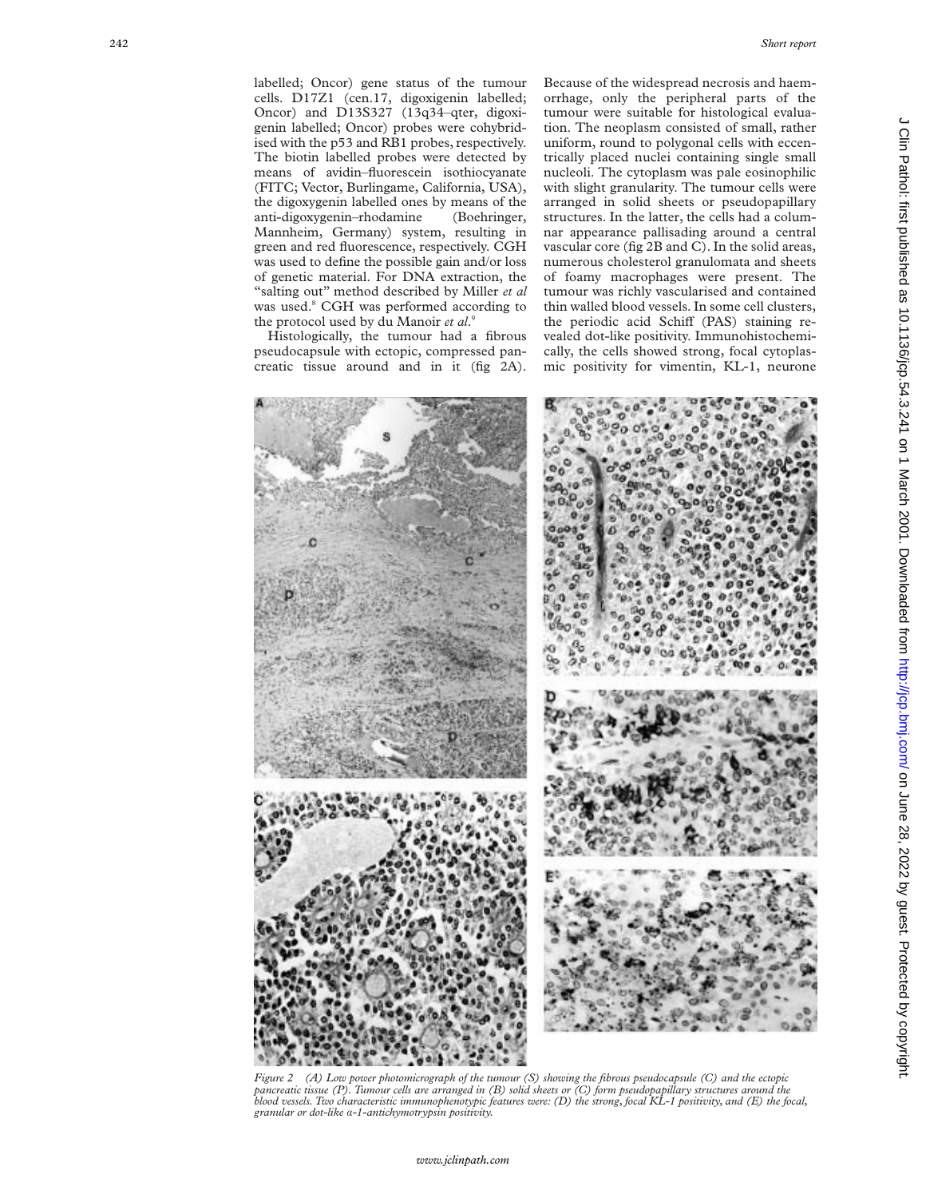labelled; Oncor) gene status of the tumour cells. D17Z1 (cen.17, digoxigenin labelled; Oncor) and D13S327 (13q34–qter, digoxigenin labelled; Oncor) probes were cohybridised with the p53 and RB1 probes, respectively. The biotin labelled probes were detected by means of avidin–fluorescein isothiocyanate (FITC; Vector, Burlingame, California, USA), the digoxygenin labelled ones by means of the anti-digoxygenin–rhodamine (Boehringer, Mannheim, Germany) system, resulting in green and red fluorescence, respectively. CGH was used to define the possible gain and/or loss of genetic material. For DNA extraction, the "salting out" method described by Miller *et al* was used. <sup>8</sup> CGH was performed according to the protocol used by du Manoir *et al* . 9

Histologically, the tumour had a fibrous pseudocapsule with ectopic, compressed pancreatic tissue around and in it (fig 2A).

Because of the widespread necrosis and haemorrhage, only the peripheral parts of the tumour were suitable for histological evaluation. The neoplasm consisted of small, rather uniform, round to polygonal cells with eccentrically placed nuclei containing single small nucleoli. The cytoplasm was pale eosinophilic with slight granularity. The tumour cells were arranged in solid sheets or pseudopapillary structures. In the latter, the cells had a columnar appearance pallisading around a central vascular core (fig 2B and C). In the solid areas, numerous cholesterol granulomata and sheets of foamy macrophages were present. The tumour was richly vascularised and contained thin walled blood vessels. In some cell clusters, the periodic acid Schiff (PAS) staining revealed dot-like positivity. Immunohistochemically, the cells showed strong, focal cytoplasmic positivity for vimentin, KL-1, neurone



*Figure 2 (A) Low power photomicrograph of the tumour (S) showing the fibrous pseudocapsule (C) and the ectopic pancreatic tissue (P). Tumour cells are arranged in (B) solid sheets or (C) form pseudopapillary structures around the blood vessels. Two characteristic immunophenotypic features were: (D) the strong, focal KL-1 positivity, and (E) the focal, granular or dot-like* á*-1-antichymotrypsin positivity.*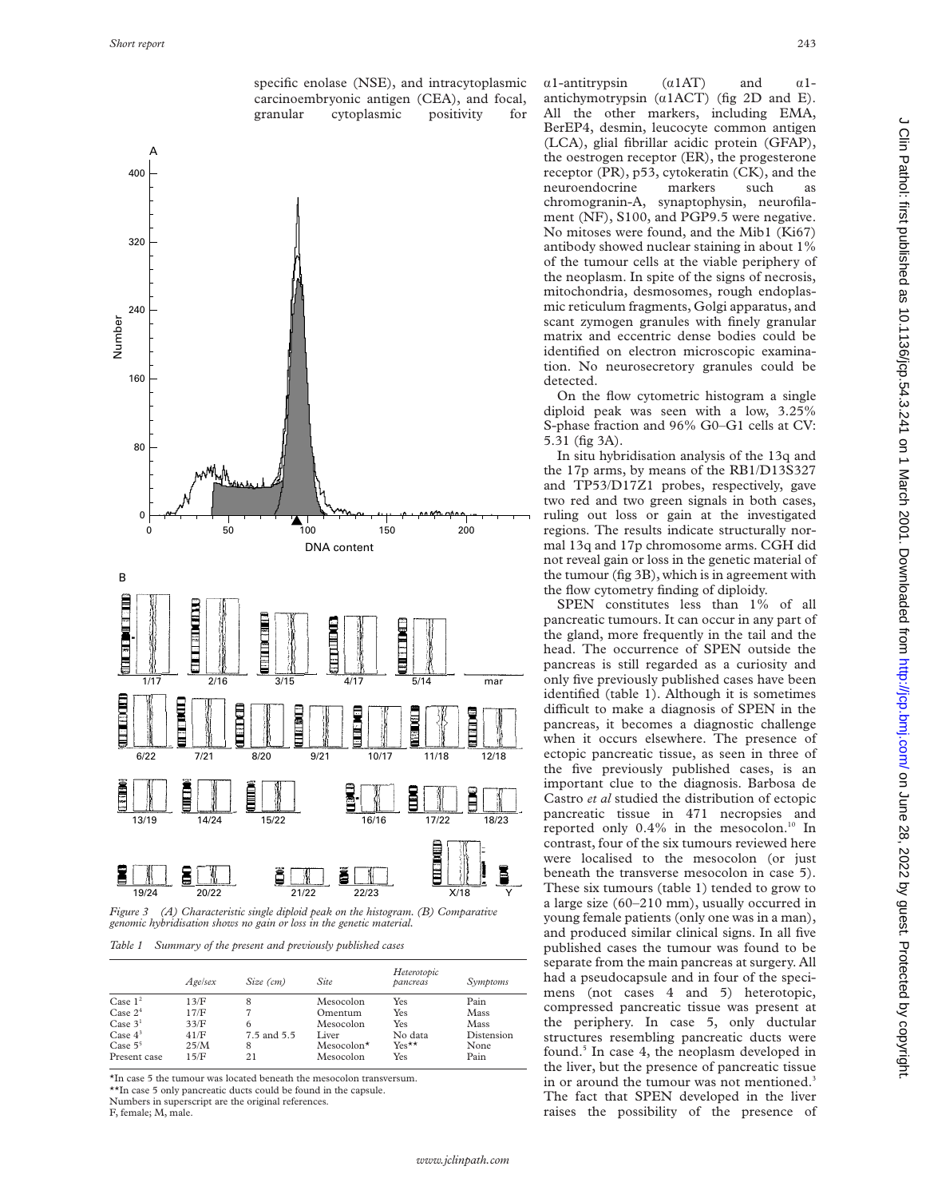

*Figure 3 (A) Characteristic single diploid peak on the histogram. (B) Comparative genomic hybridisation shows no gain or loss in the genetic material.*

*Table 1 Summary of the present and previously published cases*

|              | Agelsex | Size (cm)   | Site         | Heterotopic<br>pancreas | Symptoms   |
|--------------|---------|-------------|--------------|-------------------------|------------|
| Case $12$    | 13/F    | 8           | Mesocolon    | Yes                     | Pain       |
| Case $24$    | 17/F    |             | Omentum      | Yes                     | Mass       |
| Case $31$    | 33/F    | 6           | Mesocolon    | Yes                     | Mass       |
| Case $4^3$   | 41/F    | 7.5 and 5.5 | Liver        | No data                 | Distension |
| Case $5^5$   | 25/M    | 8           | $Mesocolon*$ | $Yes**$                 | None       |
| Present case | 15/F    | 21          | Mesocolon    | Yes                     | Pain       |

\*In case 5 the tumour was located beneath the mesocolon transversum.

\*\*In case 5 only pancreatic ducts could be found in the capsule.

Numbers in superscript are the original references.

F, female; M, male.

 $\alpha$ 1-antitrypsin ( $\alpha$ 1AT) and  $\alpha$ 1antichymotrypsin  $(a1ACT)$  (fig 2D and E). All the other markers, including EMA, BerEP4, desmin, leucocyte common antigen (LCA), glial fibrillar acidic protein (GFAP), the oestrogen receptor (ER), the progesterone receptor (PR), p53, cytokeratin (CK), and the neuroendocrine markers such as chromogranin-A, synaptophysin, neurofilament (NF), S100, and PGP9.5 were negative. No mitoses were found, and the Mib1 (Ki67) antibody showed nuclear staining in about 1% of the tumour cells at the viable periphery of the neoplasm. In spite of the signs of necrosis, mitochondria, desmosomes, rough endoplasmic reticulum fragments, Golgi apparatus, and scant zymogen granules with finely granular matrix and eccentric dense bodies could be identified on electron microscopic examination. No neurosecretory granules could be detected.

On the flow cytometric histogram a single diploid peak was seen with a low, 3.25% S-phase fraction and 96% G0–G1 cells at CV: 5.31 (fig 3A).

In situ hybridisation analysis of the 13q and the 17p arms, by means of the RB1/D13S327 and TP53/D17Z1 probes, respectively, gave two red and two green signals in both cases, ruling out loss or gain at the investigated regions. The results indicate structurally normal 13q and 17p chromosome arms. CGH did not reveal gain or loss in the genetic material of the tumour (fig 3B), which is in agreement with the flow cytometry finding of diploidy.

SPEN constitutes less than 1% of all pancreatic tumours. It can occur in any part of the gland, more frequently in the tail and the head. The occurrence of SPEN outside the pancreas is still regarded as a curiosity and only five previously published cases have been identified (table 1). Although it is sometimes difficult to make a diagnosis of SPEN in the pancreas, it becomes a diagnostic challenge when it occurs elsewhere. The presence of ectopic pancreatic tissue, as seen in three of the five previously published cases, is an important clue to the diagnosis. Barbosa de Castro *et al* studied the distribution of ectopic pancreatic tissue in 471 necropsies and reported only 0.4% in the mesocolon.<sup>10</sup> In contrast, four of the six tumours reviewed here were localised to the mesocolon (or just beneath the transverse mesocolon in case 5). These six tumours (table 1) tended to grow to a large size (60–210 mm), usually occurred in young female patients (only one was in a man), and produced similar clinical signs. In all five published cases the tumour was found to be separate from the main pancreas at surgery. All had a pseudocapsule and in four of the specimens (not cases 4 and 5) heterotopic, compressed pancreatic tissue was present at the periphery. In case 5, only ductular structures resembling pancreatic ducts were found.<sup>5</sup> In case 4, the neoplasm developed in the liver, but the presence of pancreatic tissue in or around the tumour was not mentioned.<sup>3</sup> The fact that SPEN developed in the liver raises the possibility of the presence of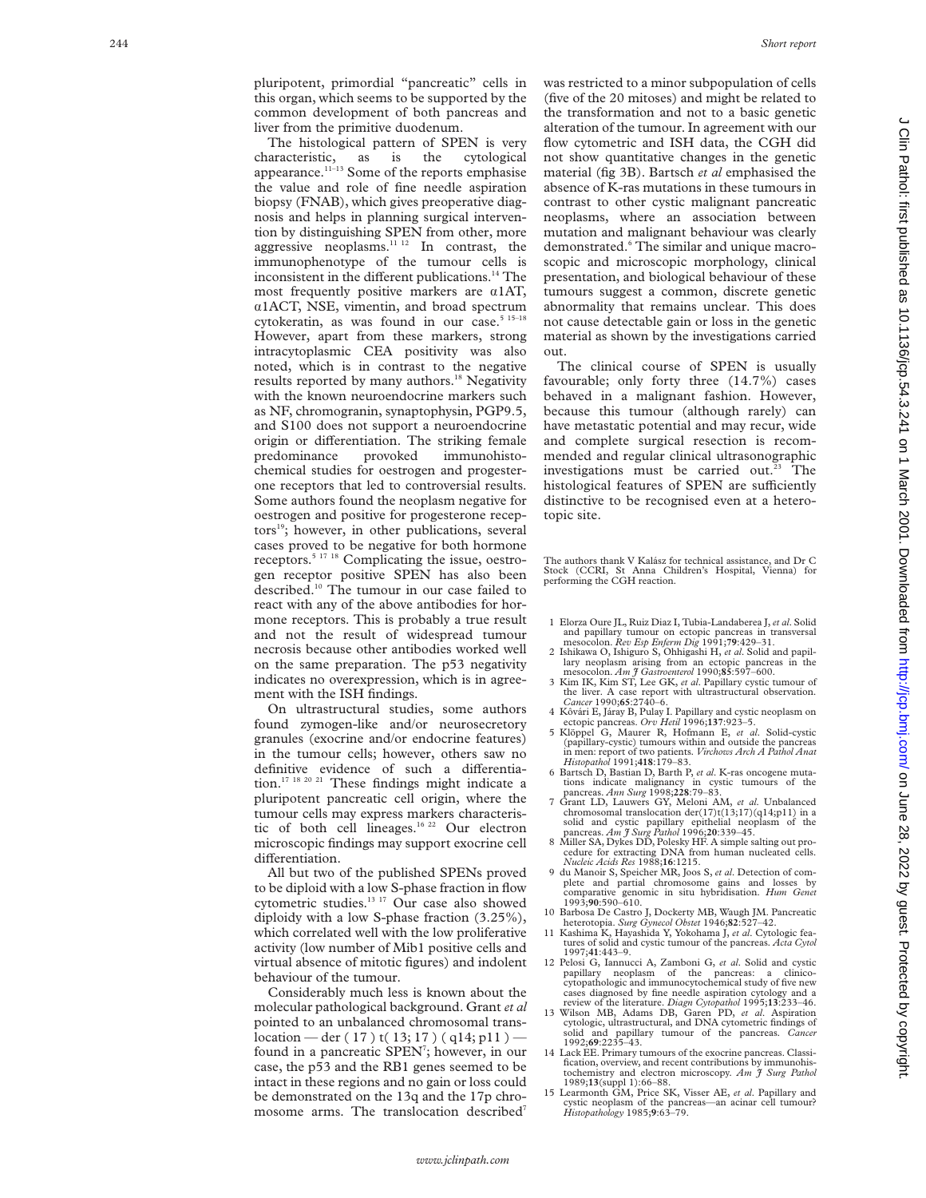pluripotent, primordial "pancreatic" cells in this organ, which seems to be supported by the common development of both pancreas and liver from the primitive duodenum.

The histological pattern of SPEN is very characteristic, as is the cytological appearance.<sup>11–13</sup> Some of the reports emphasise the value and role of fine needle aspiration biopsy (FNAB), which gives preoperative diagnosis and helps in planning surgical intervention by distinguishing SPEN from other, more aggressive neoplasms. $11 12$  In contrast, the immunophenotype of the tumour cells is inconsistent in the different publications.<sup>14</sup> The most frequently positive markers are  $\alpha$ 1AT, á1ACT, NSE, vimentin, and broad spectrum cytokeratin, as was found in our case.<sup>5 15-19</sup> However, apart from these markers, strong intracytoplasmic CEA positivity was also noted, which is in contrast to the negative results reported by many authors.<sup>18</sup> Negativity with the known neuroendocrine markers such as NF, chromogranin, synaptophysin, PGP9.5, and S100 does not support a neuroendocrine origin or differentiation. The striking female predominance provoked immunohistochemical studies for oestrogen and progesterone receptors that led to controversial results. Some authors found the neoplasm negative for oestrogen and positive for progesterone receptors<sup>19</sup>; however, in other publications, several cases proved to be negative for both hormone receptors.5 17 18 Complicating the issue, oestrogen receptor positive SPEN has also been described.<sup>10</sup> The tumour in our case failed to react with any of the above antibodies for hormone receptors. This is probably a true result and not the result of widespread tumour necrosis because other antibodies worked well on the same preparation. The p53 negativity indicates no overexpression, which is in agreement with the ISH findings.

On ultrastructural studies, some authors found zymogen-like and/or neurosecretory granules (exocrine and/or endocrine features) in the tumour cells; however, others saw no definitive evidence of such a differentiation.17 18 20 21 These findings might indicate a pluripotent pancreatic cell origin, where the tumour cells may express markers characteristic of both cell lineages.16 22 Our electron microscopic findings may support exocrine cell differentiation.

All but two of the published SPENs proved to be diploid with a low S-phase fraction in flow cytometric studies.13 17 Our case also showed diploidy with a low S-phase fraction (3.25%), which correlated well with the low proliferative activity (low number of Mib1 positive cells and virtual absence of mitotic figures) and indolent behaviour of the tumour.

Considerably much less is known about the molecular pathological background. Grant *et al* pointed to an unbalanced chromosomal translocation — der ( 17 ) t( 13; 17 ) ( q14; p11 ) found in a pancreatic SPEN<sup>7</sup>; however, in our case, the p53 and the RB1 genes seemed to be intact in these regions and no gain or loss could be demonstrated on the 13q and the 17p chromosome arms. The translocation described<sup>7</sup> was restricted to a minor subpopulation of cells (five of the 20 mitoses) and might be related to the transformation and not to a basic genetic alteration of the tumour. In agreement with our flow cytometric and ISH data, the CGH did not show quantitative changes in the genetic material (fig 3B). Bartsch *et al* emphasised the absence of K-ras mutations in these tumours in contrast to other cystic malignant pancreatic neoplasms, where an association between mutation and malignant behaviour was clearly demonstrated. <sup>6</sup> The similar and unique macroscopic and microscopic morphology, clinical presentation, and biological behaviour of these tumours suggest a common, discrete genetic abnormality that remains unclear. This does not cause detectable gain or loss in the genetic material as shown by the investigations carried out.

The clinical course of SPEN is usually favourable; only forty three (14.7%) cases behaved in a malignant fashion. However, because this tumour (although rarely) can have metastatic potential and may recur, wide and complete surgical resection is recommended and regular clinical ultrasonographic investigations must be carried out.<sup>23</sup> The histological features of SPEN are sufficiently distinctive to be recognised even at a heterotopic site.

The authors thank V Kalász for technical assistance, and Dr C Stock (CCRI, St Anna Children's Hospital, Vienna) for performing the CGH reaction.

- 1 Elorza Oure JL, Ruiz Diaz I, Tubia-Landaberea J,*et al*. Solid and papillary tumour on ectopic pancreas in transversal mesocolon. *Rev Esp Enferm Dig* 1991;**79**:429–31.
- 2 Ishikawa O, Ishiguro S, Ohhigashi H, *et al*. Solid and papil-lary neoplasm arising from an ectopic pancreas in the mesocolon. *Am J Gastroenterol* 1990;**85**:597–600.
- 3 Kim IK, Kim ST, Lee GK, *et al*. Papillary cystic tumour of the liver. A case report with ultrastructural observation. *Cancer* 1990;**65**:2740–6.
- 4 Kôvári E, Járay B, Pulay I. Papillary and cystic neoplasm on ectopic pancreas. *Orv Hetil* 1996;**137**:923–5. 5 Klöppel G, Maurer R, Hofmann E, *et al*. Solid-cystic
- (papillary-cystic) tumours within and outside the pancreas in men: report of two patients. *Virchows Arch A Pathol Anat Histopathol* 1991;**418**:179–83.
- 6 Bartsch D, Bastian D, Barth P, *et al*. K-ras oncogene muta-tions indicate malignancy in cystic tumours of the pancreas. *Ann Surg* 1998;**228**:79–83.
- 7 Grant LD, Lauwers GY, Meloni AM, *et al*. Unbalanced
- chromosomal translocation der( $17$ )t( $13,17$ )( $q14$ ; $p11$ ) in a solid and cystic papillary epithelial neoplasm of the pancreas. *Am f* Surg Pathol 1996;20:339-45.<br>8 Miller SA, Dykes DD, Polesky HF. A simple salting out
- 9 du Manoir S, Speicher MR, Joos S, *et al*. Detection of complete and partial chromosome gains and losses by comparative genomic in situ hybridisation. *Hum Genet* 1993;**90**:590–610.
- 10 Barbosa De Castro J, Dockerty MB, Waugh JM. Pancreatic heterotopia. *Surg Gynecol Obstet* 1946;**82**:527–42.
- 11 Kashima K, Hayashida Y, Yokohama J, *et al*. Cytologic features of solid and cystic tumour of the pancreas. *Acta Cytol* 1997;**41**:443–9.
- 12 Pelosi G, Iannucci A, Zamboni G, *et al*. Solid and cystic papillary neoplasm of the pancreas: a clinico-cytopathologic and immunocytochemical study of five new
- cases diagnosed by fine needle aspiration cytology and a review of the literature. *Diagn Cytopathol* 1995;13:233-46.<br>13 Wilson MB, Adams DB, Garen PD, et al. Aspiration cytologic, ultrastructural, and DNA cytometric findi solid and papillary tumour of the pancreas. *Cancer* 1992;**69**:2235–43.
- 14 Lack EE. Primary tumours of the exocrine pancreas. Classification, overview, and recent contributions by immunohis-tochemistry and electron microscopy. *Am J Surg Pathol* 1989;**13**(suppl 1):66–88.
- 15 Learmonth GM, Price SK, Visser AE, *et al*. Papillary and cystic neoplasm of the pancreas—an acinar cell tumour? *Histopathology* 1985; **9**:63–79.